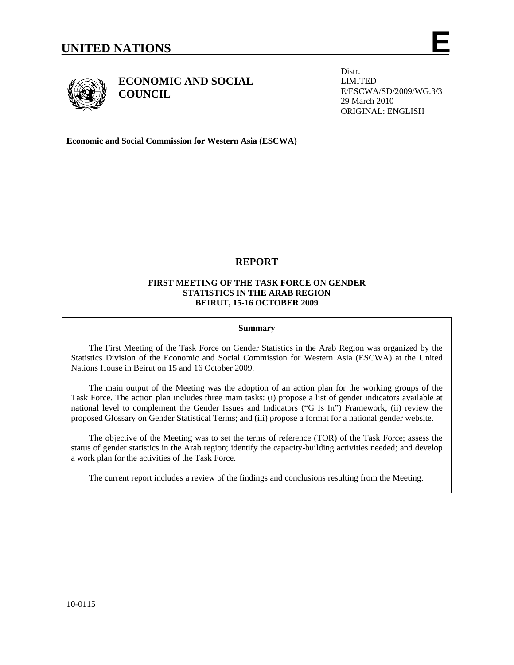

**ECONOMIC AND SOCIAL COUNCIL** 

Distr. LIMITED E/ESCWA/SD/2009/WG.3/3 29 March 2010 ORIGINAL: ENGLISH

**Economic and Social Commission for Western Asia (ESCWA)** 

# **REPORT**

# **FIRST MEETING OF THE TASK FORCE ON GENDER STATISTICS IN THE ARAB REGION BEIRUT, 15-16 OCTOBER 2009**

# **Summary**

The First Meeting of the Task Force on Gender Statistics in the Arab Region was organized by the Statistics Division of the Economic and Social Commission for Western Asia (ESCWA) at the United Nations House in Beirut on 15 and 16 October 2009.

 The main output of the Meeting was the adoption of an action plan for the working groups of the Task Force. The action plan includes three main tasks: (i) propose a list of gender indicators available at national level to complement the Gender Issues and Indicators ("G Is In") Framework; (ii) review the proposed Glossary on Gender Statistical Terms; and (iii) propose a format for a national gender website.

 The objective of the Meeting was to set the terms of reference (TOR) of the Task Force; assess the status of gender statistics in the Arab region; identify the capacity-building activities needed; and develop a work plan for the activities of the Task Force.

The current report includes a review of the findings and conclusions resulting from the Meeting.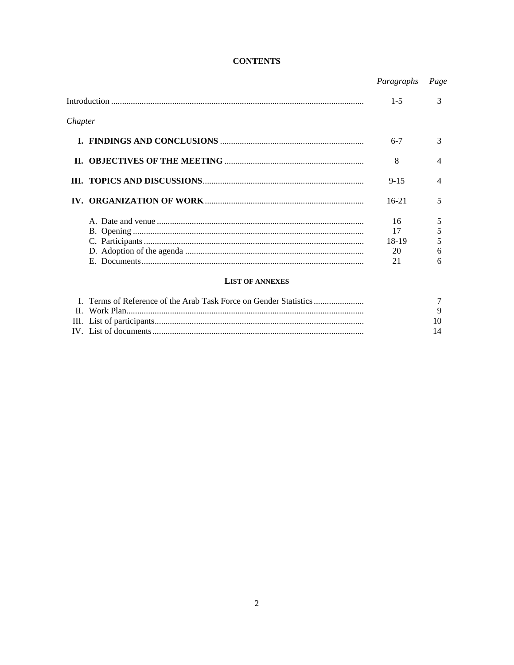# **CONTENTS**

|         |                                                                   | Paragraphs | Page |
|---------|-------------------------------------------------------------------|------------|------|
|         |                                                                   | $1 - 5$    | 3    |
| Chapter |                                                                   |            |      |
|         |                                                                   | $6 - 7$    | 3    |
|         |                                                                   | 8          | 4    |
|         |                                                                   | $9 - 15$   | 4    |
|         |                                                                   | $16-21$    | 5    |
|         |                                                                   | 16         | 5    |
|         |                                                                   | 17         | 5    |
|         |                                                                   | 18-19      | 5    |
|         |                                                                   | 20         | 6    |
|         |                                                                   | 21         | 6    |
|         | <b>LIST OF ANNEXES</b>                                            |            |      |
|         | I. Terms of Reference of the Arab Task Force on Gender Statistics |            |      |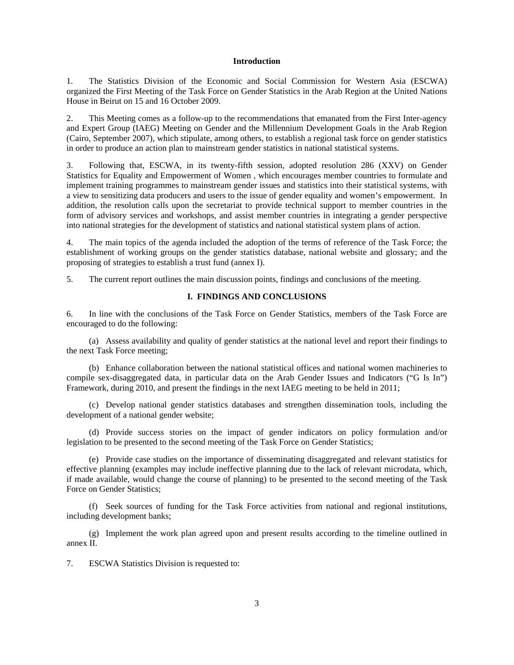## **Introduction**

1. The Statistics Division of the Economic and Social Commission for Western Asia (ESCWA) organized the First Meeting of the Task Force on Gender Statistics in the Arab Region at the United Nations House in Beirut on 15 and 16 October 2009.

2. This Meeting comes as a follow-up to the recommendations that emanated from the First Inter-agency and Expert Group (IAEG) Meeting on Gender and the Millennium Development Goals in the Arab Region (Cairo, September 2007), which stipulate, among others, to establish a regional task force on gender statistics in order to produce an action plan to mainstream gender statistics in national statistical systems.

3. Following that, ESCWA, in its twenty-fifth session, adopted resolution 286 (XXV) on Gender Statistics for Equality and Empowerment of Women , which encourages member countries to formulate and implement training programmes to mainstream gender issues and statistics into their statistical systems, with a view to sensitizing data producers and users to the issue of gender equality and women's empowerment. In addition, the resolution calls upon the secretariat to provide technical support to member countries in the form of advisory services and workshops, and assist member countries in integrating a gender perspective into national strategies for the development of statistics and national statistical system plans of action.

4. The main topics of the agenda included the adoption of the terms of reference of the Task Force; the establishment of working groups on the gender statistics database, national website and glossary; and the proposing of strategies to establish a trust fund (annex I).

5. The current report outlines the main discussion points, findings and conclusions of the meeting.

# **I. FINDINGS AND CONCLUSIONS**

6. In line with the conclusions of the Task Force on Gender Statistics, members of the Task Force are encouraged to do the following:

 (a) Assess availability and quality of gender statistics at the national level and report their findings to the next Task Force meeting;

 (b) Enhance collaboration between the national statistical offices and national women machineries to compile sex-disaggregated data, in particular data on the Arab Gender Issues and Indicators ("G Is In") Framework, during 2010, and present the findings in the next IAEG meeting to be held in 2011;

 (c) Develop national gender statistics databases and strengthen dissemination tools, including the development of a national gender website;

 (d) Provide success stories on the impact of gender indicators on policy formulation and/or legislation to be presented to the second meeting of the Task Force on Gender Statistics;

 (e) Provide case studies on the importance of disseminating disaggregated and relevant statistics for effective planning (examples may include ineffective planning due to the lack of relevant microdata, which, if made available, would change the course of planning) to be presented to the second meeting of the Task Force on Gender Statistics;

 (f) Seek sources of funding for the Task Force activities from national and regional institutions, including development banks;

 (g) Implement the work plan agreed upon and present results according to the timeline outlined in annex II.

7. ESCWA Statistics Division is requested to: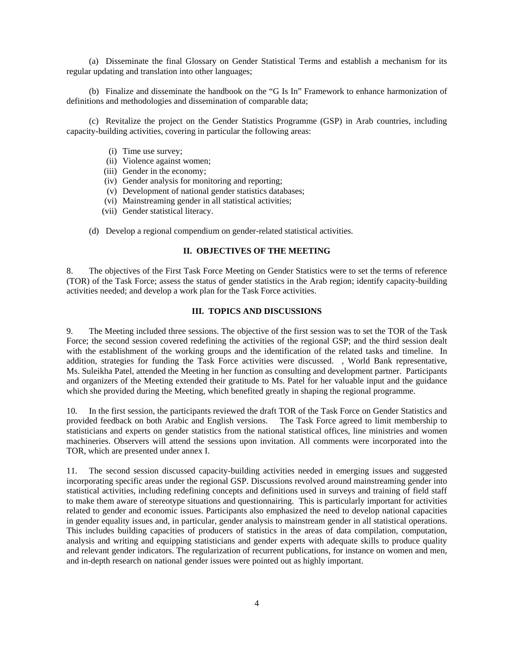(a) Disseminate the final Glossary on Gender Statistical Terms and establish a mechanism for its regular updating and translation into other languages;

 (b) Finalize and disseminate the handbook on the "G Is In" Framework to enhance harmonization of definitions and methodologies and dissemination of comparable data;

 (c) Revitalize the project on the Gender Statistics Programme (GSP) in Arab countries, including capacity-building activities, covering in particular the following areas:

- (i) Time use survey;
- (ii) Violence against women;
- (iii) Gender in the economy;
- (iv) Gender analysis for monitoring and reporting;
- (v) Development of national gender statistics databases;
- (vi) Mainstreaming gender in all statistical activities;
- (vii) Gender statistical literacy.
- (d) Develop a regional compendium on gender-related statistical activities.

# **II. OBJECTIVES OF THE MEETING**

8. The objectives of the First Task Force Meeting on Gender Statistics were to set the terms of reference (TOR) of the Task Force; assess the status of gender statistics in the Arab region; identify capacity-building activities needed; and develop a work plan for the Task Force activities.

# **III. TOPICS AND DISCUSSIONS**

9. The Meeting included three sessions. The objective of the first session was to set the TOR of the Task Force; the second session covered redefining the activities of the regional GSP; and the third session dealt with the establishment of the working groups and the identification of the related tasks and timeline. In addition, strategies for funding the Task Force activities were discussed. , World Bank representative, Ms. Suleikha Patel, attended the Meeting in her function as consulting and development partner. Participants and organizers of the Meeting extended their gratitude to Ms. Patel for her valuable input and the guidance which she provided during the Meeting, which benefited greatly in shaping the regional programme.

10. In the first session, the participants reviewed the draft TOR of the Task Force on Gender Statistics and provided feedback on both Arabic and English versions. The Task Force agreed to limit membership to statisticians and experts on gender statistics from the national statistical offices, line ministries and women machineries. Observers will attend the sessions upon invitation. All comments were incorporated into the TOR, which are presented under annex I.

11. The second session discussed capacity-building activities needed in emerging issues and suggested incorporating specific areas under the regional GSP. Discussions revolved around mainstreaming gender into statistical activities, including redefining concepts and definitions used in surveys and training of field staff to make them aware of stereotype situations and questionnairing. This is particularly important for activities related to gender and economic issues. Participants also emphasized the need to develop national capacities in gender equality issues and, in particular, gender analysis to mainstream gender in all statistical operations. This includes building capacities of producers of statistics in the areas of data compilation, computation, analysis and writing and equipping statisticians and gender experts with adequate skills to produce quality and relevant gender indicators. The regularization of recurrent publications, for instance on women and men, and in-depth research on national gender issues were pointed out as highly important.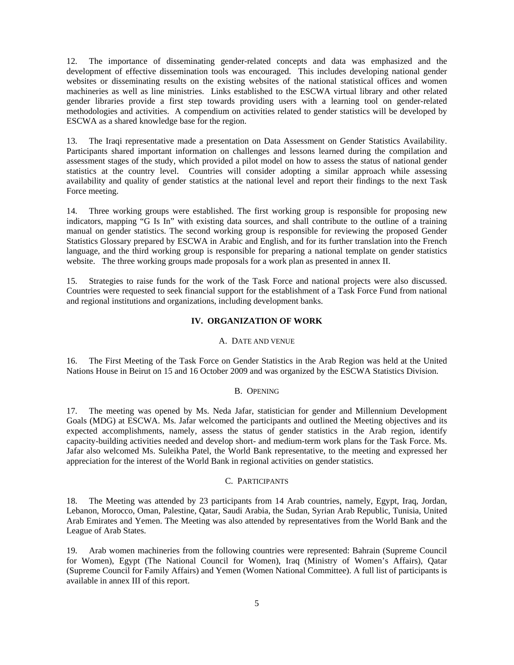12. The importance of disseminating gender-related concepts and data was emphasized and the development of effective dissemination tools was encouraged. This includes developing national gender websites or disseminating results on the existing websites of the national statistical offices and women machineries as well as line ministries. Links established to the ESCWA virtual library and other related gender libraries provide a first step towards providing users with a learning tool on gender-related methodologies and activities. A compendium on activities related to gender statistics will be developed by ESCWA as a shared knowledge base for the region.

13. The Iraqi representative made a presentation on Data Assessment on Gender Statistics Availability. Participants shared important information on challenges and lessons learned during the compilation and assessment stages of the study, which provided a pilot model on how to assess the status of national gender statistics at the country level. Countries will consider adopting a similar approach while assessing availability and quality of gender statistics at the national level and report their findings to the next Task Force meeting.

14. Three working groups were established. The first working group is responsible for proposing new indicators, mapping "G Is In" with existing data sources, and shall contribute to the outline of a training manual on gender statistics. The second working group is responsible for reviewing the proposed Gender Statistics Glossary prepared by ESCWA in Arabic and English, and for its further translation into the French language, and the third working group is responsible for preparing a national template on gender statistics website. The three working groups made proposals for a work plan as presented in annex II.

15. Strategies to raise funds for the work of the Task Force and national projects were also discussed. Countries were requested to seek financial support for the establishment of a Task Force Fund from national and regional institutions and organizations, including development banks.

# **IV. ORGANIZATION OF WORK**

#### A. DATE AND VENUE

16. The First Meeting of the Task Force on Gender Statistics in the Arab Region was held at the United Nations House in Beirut on 15 and 16 October 2009 and was organized by the ESCWA Statistics Division.

### B. OPENING

17. The meeting was opened by Ms. Neda Jafar, statistician for gender and Millennium Development Goals (MDG) at ESCWA. Ms. Jafar welcomed the participants and outlined the Meeting objectives and its expected accomplishments, namely, assess the status of gender statistics in the Arab region, identify capacity-building activities needed and develop short- and medium-term work plans for the Task Force. Ms. Jafar also welcomed Ms. Suleikha Patel, the World Bank representative, to the meeting and expressed her appreciation for the interest of the World Bank in regional activities on gender statistics.

#### C. PARTICIPANTS

18. The Meeting was attended by 23 participants from 14 Arab countries, namely, Egypt, Iraq, Jordan, Lebanon, Morocco, Oman, Palestine, Qatar, Saudi Arabia, the Sudan, Syrian Arab Republic, Tunisia, United Arab Emirates and Yemen. The Meeting was also attended by representatives from the World Bank and the League of Arab States.

19. Arab women machineries from the following countries were represented: Bahrain (Supreme Council for Women), Egypt (The National Council for Women), Iraq (Ministry of Women's Affairs), Qatar (Supreme Council for Family Affairs) and Yemen (Women National Committee). A full list of participants is available in annex III of this report.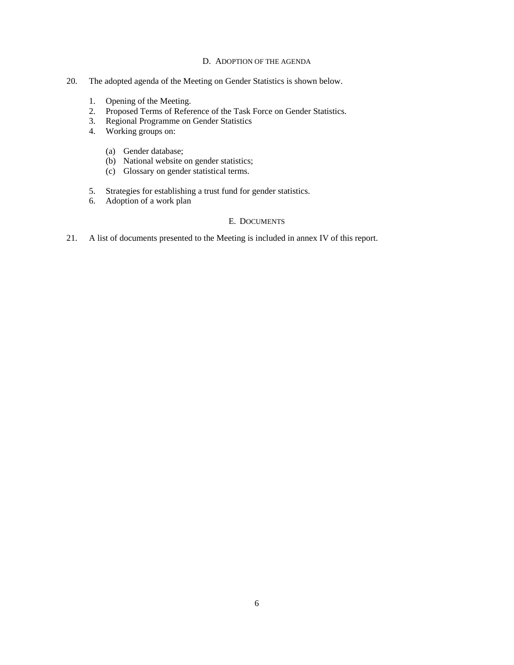# D. ADOPTION OF THE AGENDA

- 20. The adopted agenda of the Meeting on Gender Statistics is shown below.
	- 1. Opening of the Meeting.
	- 2. Proposed Terms of Reference of the Task Force on Gender Statistics.
	- 3. Regional Programme on Gender Statistics
	- 4. Working groups on:
		- (a) Gender database;
		- (b) National website on gender statistics;
		- (c) Glossary on gender statistical terms.
	- 5. Strategies for establishing a trust fund for gender statistics.
	- 6. Adoption of a work plan

# E. DOCUMENTS

21. A list of documents presented to the Meeting is included in annex IV of this report.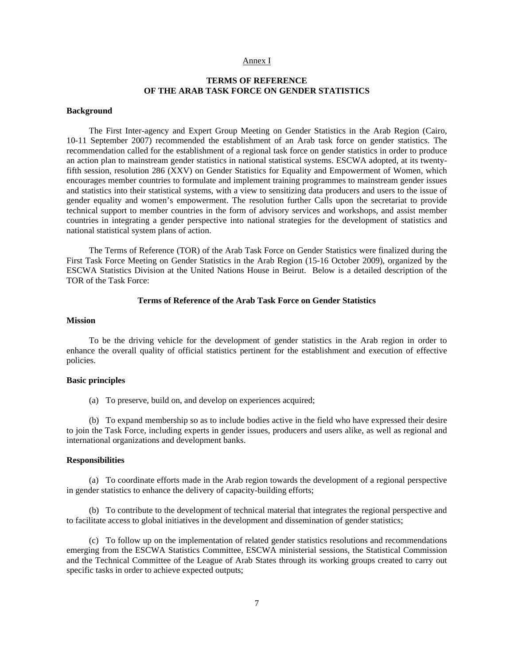#### Annex I

# **TERMS OF REFERENCE OF THE ARAB TASK FORCE ON GENDER STATISTICS**

### **Background**

 The First Inter-agency and Expert Group Meeting on Gender Statistics in the Arab Region (Cairo, 10-11 September 2007) recommended the establishment of an Arab task force on gender statistics. The recommendation called for the establishment of a regional task force on gender statistics in order to produce an action plan to mainstream gender statistics in national statistical systems. ESCWA adopted, at its twentyfifth session, resolution 286 (XXV) on Gender Statistics for Equality and Empowerment of Women, which encourages member countries to formulate and implement training programmes to mainstream gender issues and statistics into their statistical systems, with a view to sensitizing data producers and users to the issue of gender equality and women's empowerment. The resolution further Calls upon the secretariat to provide technical support to member countries in the form of advisory services and workshops, and assist member countries in integrating a gender perspective into national strategies for the development of statistics and national statistical system plans of action.

 The Terms of Reference (TOR) of the Arab Task Force on Gender Statistics were finalized during the First Task Force Meeting on Gender Statistics in the Arab Region (15-16 October 2009), organized by the ESCWA Statistics Division at the United Nations House in Beirut. Below is a detailed description of the TOR of the Task Force:

## **Terms of Reference of the Arab Task Force on Gender Statistics**

#### **Mission**

 To be the driving vehicle for the development of gender statistics in the Arab region in order to enhance the overall quality of official statistics pertinent for the establishment and execution of effective policies.

#### **Basic principles**

(a) To preserve, build on, and develop on experiences acquired;

 (b) To expand membership so as to include bodies active in the field who have expressed their desire to join the Task Force, including experts in gender issues, producers and users alike, as well as regional and international organizations and development banks.

#### **Responsibilities**

 (a) To coordinate efforts made in the Arab region towards the development of a regional perspective in gender statistics to enhance the delivery of capacity-building efforts;

 (b) To contribute to the development of technical material that integrates the regional perspective and to facilitate access to global initiatives in the development and dissemination of gender statistics;

 (c) To follow up on the implementation of related gender statistics resolutions and recommendations emerging from the ESCWA Statistics Committee, ESCWA ministerial sessions, the Statistical Commission and the Technical Committee of the League of Arab States through its working groups created to carry out specific tasks in order to achieve expected outputs;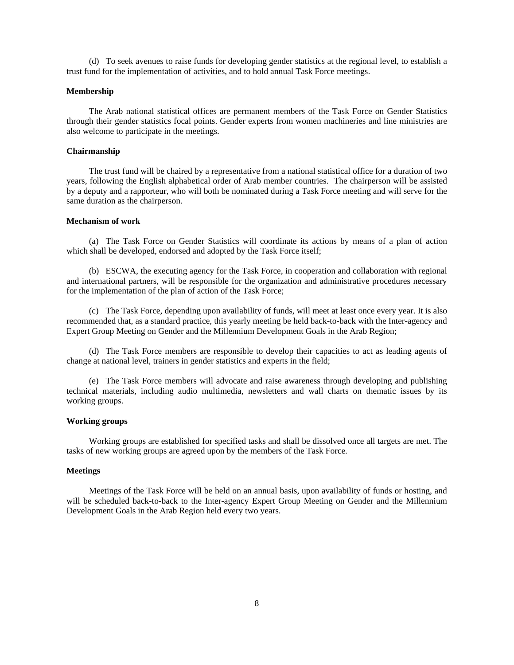(d) To seek avenues to raise funds for developing gender statistics at the regional level, to establish a trust fund for the implementation of activities, and to hold annual Task Force meetings.

#### **Membership**

 The Arab national statistical offices are permanent members of the Task Force on Gender Statistics through their gender statistics focal points. Gender experts from women machineries and line ministries are also welcome to participate in the meetings.

### **Chairmanship**

 The trust fund will be chaired by a representative from a national statistical office for a duration of two years, following the English alphabetical order of Arab member countries. The chairperson will be assisted by a deputy and a rapporteur, who will both be nominated during a Task Force meeting and will serve for the same duration as the chairperson.

# **Mechanism of work**

 (a) The Task Force on Gender Statistics will coordinate its actions by means of a plan of action which shall be developed, endorsed and adopted by the Task Force itself;

 (b) ESCWA, the executing agency for the Task Force, in cooperation and collaboration with regional and international partners, will be responsible for the organization and administrative procedures necessary for the implementation of the plan of action of the Task Force;

 (c) The Task Force, depending upon availability of funds, will meet at least once every year. It is also recommended that, as a standard practice, this yearly meeting be held back-to-back with the Inter-agency and Expert Group Meeting on Gender and the Millennium Development Goals in the Arab Region;

 (d) The Task Force members are responsible to develop their capacities to act as leading agents of change at national level, trainers in gender statistics and experts in the field;

 (e) The Task Force members will advocate and raise awareness through developing and publishing technical materials, including audio multimedia, newsletters and wall charts on thematic issues by its working groups.

### **Working groups**

 Working groups are established for specified tasks and shall be dissolved once all targets are met. The tasks of new working groups are agreed upon by the members of the Task Force.

# **Meetings**

 Meetings of the Task Force will be held on an annual basis, upon availability of funds or hosting, and will be scheduled back-to-back to the Inter-agency Expert Group Meeting on Gender and the Millennium Development Goals in the Arab Region held every two years.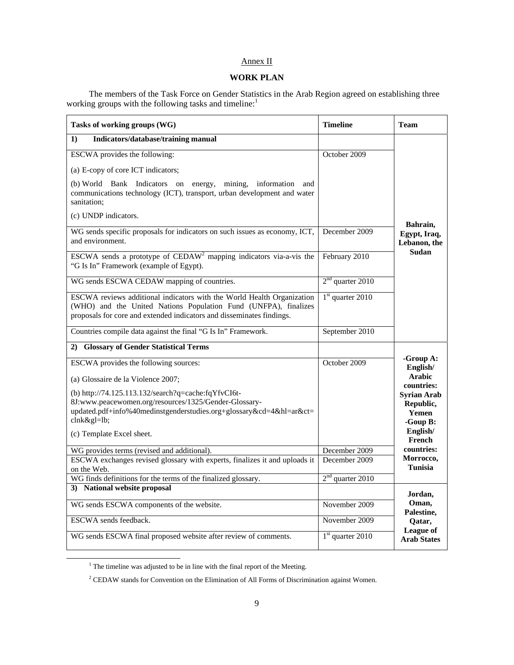# Annex II

# **WORK PLAN**

 The members of the Task Force on Gender Statistics in the Arab Region agreed on establishing three working groups with the following tasks and timeline:<sup>1</sup>

| Tasks of working groups (WG)                                                                                                                                                                                       | <b>Timeline</b>      | <b>Team</b>                                          |  |  |
|--------------------------------------------------------------------------------------------------------------------------------------------------------------------------------------------------------------------|----------------------|------------------------------------------------------|--|--|
| Indicators/database/training manual<br>$\bf{1}$                                                                                                                                                                    |                      |                                                      |  |  |
| ESCWA provides the following:                                                                                                                                                                                      | October 2009         |                                                      |  |  |
| (a) E-copy of core ICT indicators;                                                                                                                                                                                 |                      |                                                      |  |  |
| (b) World Bank Indicators on energy, mining, information and<br>communications technology (ICT), transport, urban development and water<br>sanitation:                                                             |                      |                                                      |  |  |
| (c) UNDP indicators.                                                                                                                                                                                               |                      |                                                      |  |  |
| WG sends specific proposals for indicators on such issues as economy, ICT,<br>and environment.                                                                                                                     | December 2009        | Bahrain,<br>Egypt, Iraq,<br>Lebanon, the             |  |  |
| ESCWA sends a prototype of CEDAW <sup>2</sup> mapping indicators via-a-vis the<br>"G Is In" Framework (example of Egypt).                                                                                          | February 2010        | <b>Sudan</b>                                         |  |  |
| WG sends ESCWA CEDAW mapping of countries.                                                                                                                                                                         | $2nd$ quarter 2010   |                                                      |  |  |
| ESCWA reviews additional indicators with the World Health Organization<br>(WHO) and the United Nations Population Fund (UNFPA), finalizes<br>proposals for core and extended indicators and disseminates findings. | $1st$ quarter 2010   |                                                      |  |  |
| Countries compile data against the final "G Is In" Framework.                                                                                                                                                      | September 2010       |                                                      |  |  |
| 2) Glossary of Gender Statistical Terms                                                                                                                                                                            |                      |                                                      |  |  |
| ESCWA provides the following sources:<br>(a) Glossaire de la Violence 2007;                                                                                                                                        | October 2009         | -Group A:<br>English/<br><b>Arabic</b><br>countries: |  |  |
| (b) http://74.125.113.132/search?q=cache:fqYfvCI6t-<br>8J:www.peacewomen.org/resources/1325/Gender-Glossary-<br>updated.pdf+info%40medinstgenderstudies.org+glossary&cd=4&hl=ar&ct=<br>clnk≷=lb;                   |                      | <b>Syrian Arab</b><br>Republic,<br>Yemen<br>-Goup B: |  |  |
| (c) Template Excel sheet.                                                                                                                                                                                          |                      | English/<br>French                                   |  |  |
| WG provides terms (revised and additional).                                                                                                                                                                        | December 2009        | countries:                                           |  |  |
| ESCWA exchanges revised glossary with experts, finalizes it and uploads it<br>on the Web.                                                                                                                          | December 2009        | Morrocco,<br><b>Tunisia</b>                          |  |  |
| WG finds definitions for the terms of the finalized glossary.                                                                                                                                                      | $2nd$ quarter $2010$ |                                                      |  |  |
| 3) National website proposal                                                                                                                                                                                       |                      | Jordan,                                              |  |  |
| WG sends ESCWA components of the website.                                                                                                                                                                          | November 2009        | Oman,<br>Palestine,                                  |  |  |
| ESCWA sends feedback.                                                                                                                                                                                              | November 2009        | Qatar,                                               |  |  |
| WG sends ESCWA final proposed website after review of comments.                                                                                                                                                    | $1st$ quarter 2010   | League of<br><b>Arab States</b>                      |  |  |

<sup>&</sup>lt;sup>1</sup> The timeline was adjusted to be in line with the final report of the Meeting.

 $2$  CEDAW stands for Convention on the Elimination of All Forms of Discrimination against Women.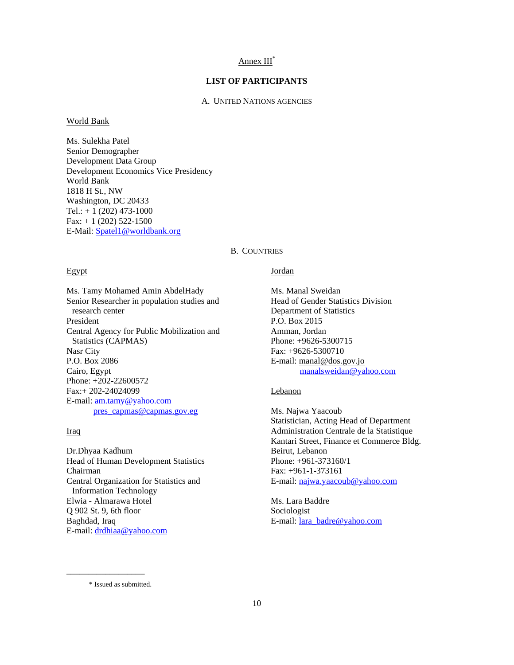# Annex III\*

# **LIST OF PARTICIPANTS**

# A. UNITED NATIONS AGENCIES

World Bank

Ms. Sulekha Patel Senior Demographer Development Data Group Development Economics Vice Presidency World Bank 1818 H St., NW Washington, DC 20433 Tel.:  $+ 1 (202) 473 - 1000$  $Fax: + 1 (202) 522-1500$ E-Mail: Spatel1@worldbank.org

## B. COUNTRIES

#### Egypt

Ms. Tamy Mohamed Amin AbdelHady Senior Researcher in population studies and research center President Central Agency for Public Mobilization and Statistics (CAPMAS) Nasr City P.O. Box 2086 Cairo, Egypt Phone: +202-22600572 Fax:+ 202-24024099 E-mail: am.tamy@yahoo.com pres\_capmas@capmas.gov.eg

# Iraq

Dr.Dhyaa Kadhum Head of Human Development Statistics Chairman Central Organization for Statistics and Information Technology Elwia - Almarawa Hotel Q 902 St. 9, 6th floor Baghdad, Iraq E-mail: drdhiaa@yahoo.com

# Jordan

Ms. Manal Sweidan Head of Gender Statistics Division Department of Statistics P.O. Box 2015 Amman, Jordan Phone: +9626-5300715 Fax: +9626-5300710 E-mail: manal@dos.gov.jo manalsweidan@yahoo.com

## Lebanon

Ms. Najwa Yaacoub Statistician, Acting Head of Department Administration Centrale de la Statistique Kantari Street, Finance et Commerce Bldg. Beirut, Lebanon Phone: +961-373160/1 Fax: +961-1-373161 E-mail: najwa.yaacoub@yahoo.com

Ms. Lara Baddre Sociologist E-mail: lara\_badre@yahoo.com

\* Issued as submitted.

\_\_\_\_\_\_\_\_\_\_\_\_\_\_\_\_\_\_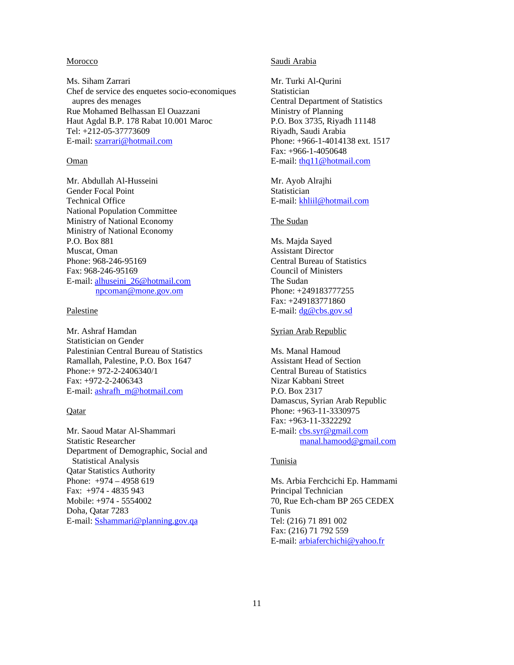## Morocco

Ms. Siham Zarrari Chef de service des enquetes socio-economiques aupres des menages Rue Mohamed Belhassan El Ouazzani Haut Agdal B.P. 178 Rabat 10.001 Maroc Tel: +212-05-37773609 E-mail: szarrari@hotmail.com

## Oman

Mr. Abdullah Al-Husseini Gender Focal Point Technical Office National Population Committee Ministry of National Economy Ministry of National Economy P.O. Box 881 Muscat, Oman Phone: 968-246-95169 Fax: 968-246-95169 E-mail: alhuseini\_26@hotmail.com npcoman@mone.gov.om

### Palestine

Mr. Ashraf Hamdan Statistician on Gender Palestinian Central Bureau of Statistics Ramallah, Palestine, P.O. Box 1647 Phone:+ 972-2-2406340/1 Fax: +972-2-2406343 E-mail: ashrafh\_m@hotmail.com

# **Qatar**

Mr. Saoud Matar Al-Shammari Statistic Researcher Department of Demographic, Social and Statistical Analysis Qatar Statistics Authority Phone: +974 – 4958 619 Fax: +974 - 4835 943 Mobile: +974 - 5554002 Doha, Qatar 7283 E-mail: Sshammari@planning.gov.qa

### Saudi Arabia

Mr. Turki Al-Qurini **Statistician** Central Department of Statistics Ministry of Planning P.O. Box 3735, Riyadh 11148 Riyadh, Saudi Arabia Phone: +966-1-4014138 ext. 1517 Fax: +966-1-4050648 E-mail: thq11@hotmail.com

Mr. Ayob Alrajhi Statistician E-mail: khliil@hotmail.com

# The Sudan

Ms. Majda Sayed Assistant Director Central Bureau of Statistics Council of Ministers The Sudan Phone: +249183777255 Fax: +249183771860 E-mail: <u>dg@cbs.gov.sd</u>

# Syrian Arab Republic

Ms. Manal Hamoud Assistant Head of Section Central Bureau of Statistics Nizar Kabbani Street P.O. Box 2317 Damascus, Syrian Arab Republic Phone: +963-11-3330975 Fax: +963-11-3322292 E-mail: cbs.syr@gmail.com manal.hamood@gmail.com

# **Tunisia**

Ms. Arbia Ferchcichi Ep. Hammami Principal Technician 70, Rue Ech-cham BP 265 CEDEX Tunis Tel: (216) 71 891 002 Fax: (216) 71 792 559 E-mail: arbiaferchichi@yahoo.fr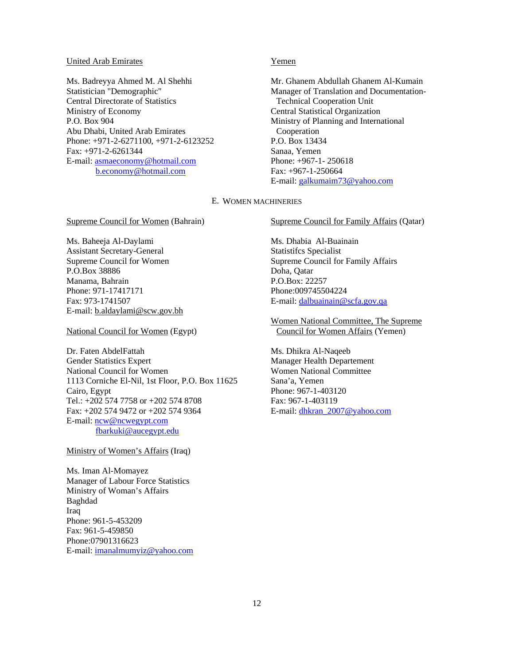#### United Arab Emirates

Ms. Badreyya Ahmed M. Al Shehhi Statistician "Demographic" Central Directorate of Statistics Ministry of Economy P.O. Box 904 Abu Dhabi, United Arab Emirates Phone: +971-2-6271100, +971-2-6123252 Fax: +971-2-6261344 E-mail: asmaeconomy@hotmail.com b.economy@hotmail.com

# Yemen

Mr. Ghanem Abdullah Ghanem Al-Kumain Manager of Translation and Documentation-Technical Cooperation Unit Central Statistical Organization Ministry of Planning and International Cooperation P.O. Box 13434 Sanaa, Yemen Phone: +967-1- 250618 Fax: +967-1-250664 E-mail: galkumaim73@yahoo.com

#### E. WOMEN MACHINERIES

Supreme Council for Women (Bahrain)

Ms. Baheeja Al-Daylami Assistant Secretary-General Supreme Council for Women P.O.Box 38886 Manama, Bahrain Phone: 971-17417171 Fax: 973-1741507 E-mail: b.aldaylami@scw.gov.bh

National Council for Women (Egypt)

Dr. Faten AbdelFattah Gender Statistics Expert National Council for Women 1113 Corniche El-Nil, 1st Floor, P.O. Box 11625 Cairo, Egypt Tel.: +202 574 7758 or +202 574 8708 Fax: +202 574 9472 or +202 574 9364 E-mail: ncw@ncwegypt.com fbarkuki@aucegypt.edu

Ministry of Women's Affairs (Iraq)

Ms. Iman Al-Momayez Manager of Labour Force Statistics Ministry of Woman's Affairs Baghdad Iraq Phone: 961-5-453209 Fax: 961-5-459850 Phone:07901316623 E-mail: imanalmumyiz@yahoo.com Supreme Council for Family Affairs (Qatar)

Ms. Dhabia Al-Buainain Statistifcs Specialist Supreme Council for Family Affairs Doha, Qatar P.O.Box: 22257 Phone:009745504224 E-mail: dalbuainain@scfa.gov.qa

Women National Committee, The Supreme Council for Women Affairs (Yemen)

Ms. Dhikra Al-Naqeeb Manager Health Departement Women National Committee Sana'a, Yemen Phone: 967-1-403120 Fax: 967-1-403119 E-mail: dhkran\_2007@yahoo.com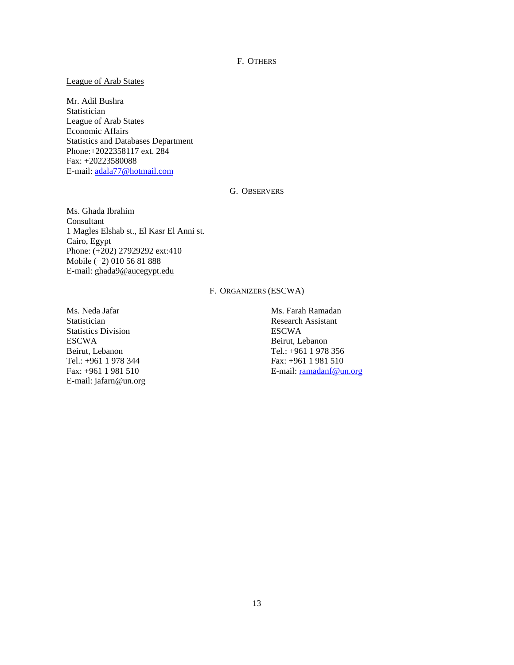F. OTHERS

## League of Arab States

Mr. Adil Bushra **Statistician** League of Arab States Economic Affairs Statistics and Databases Department Phone:+2022358117 ext. 284 Fax: +20223580088 E-mail: adala77@hotmail.com

## G. OBSERVERS

Ms. Ghada Ibrahim Consultant 1 Magles Elshab st., El Kasr El Anni st. Cairo, Egypt Phone: (+202) 27929292 ext:410 Mobile (+2) 010 56 81 888 E-mail: ghada9@aucegypt.edu

# F. ORGANIZERS (ESCWA)

Ms. Neda Jafar **Statistician** Statistics Division ESCWA Beirut, Lebanon Tel.: +961 1 978 344 Fax: +961 1 981 510 E-mail: jafarn@un.org Ms. Farah Ramadan Research Assistant ESCWA Beirut, Lebanon Tel.: +961 1 978 356 Fax: +961 1 981 510 E-mail: ramadanf@un.org